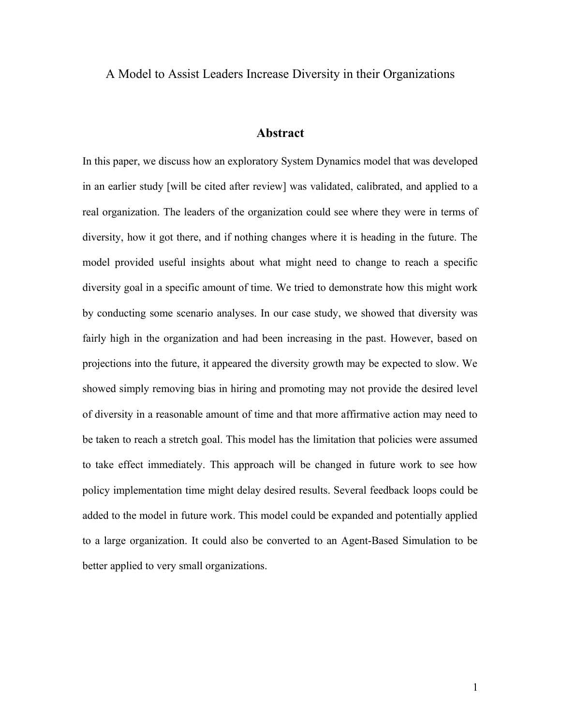A Model to Assist Leaders Increase Diversity in their Organizations

## **Abstract**

In this paper, we discuss how an exploratory System Dynamics model that was developed in an earlier study [will be cited after review] was validated, calibrated, and applied to a real organization. The leaders of the organization could see where they were in terms of diversity, how it got there, and if nothing changes where it is heading in the future. The model provided useful insights about what might need to change to reach a specific diversity goal in a specific amount of time. We tried to demonstrate how this might work by conducting some scenario analyses. In our case study, we showed that diversity was fairly high in the organization and had been increasing in the past. However, based on projections into the future, it appeared the diversity growth may be expected to slow. We showed simply removing bias in hiring and promoting may not provide the desired level of diversity in a reasonable amount of time and that more affirmative action may need to be taken to reach a stretch goal. This model has the limitation that policies were assumed to take effect immediately. This approach will be changed in future work to see how policy implementation time might delay desired results. Several feedback loops could be added to the model in future work. This model could be expanded and potentially applied to a large organization. It could also be converted to an Agent-Based Simulation to be better applied to very small organizations.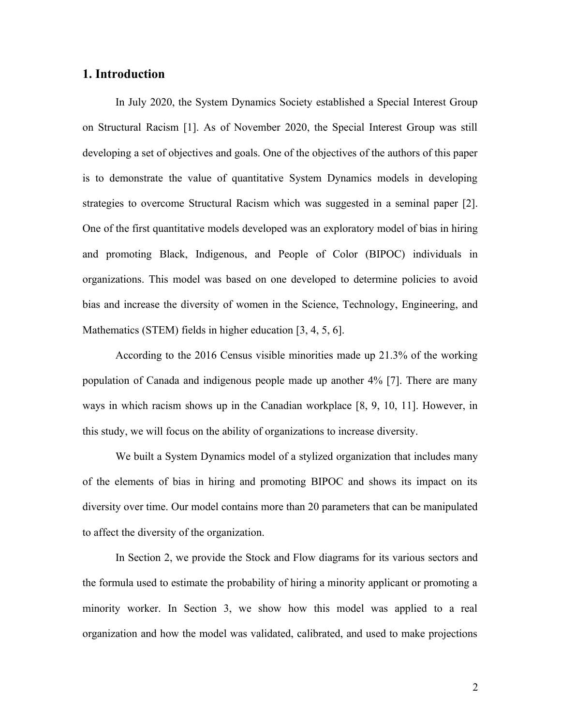## **1. Introduction**

In July 2020, the System Dynamics Society established a Special Interest Group on Structural Racism [1]. As of November 2020, the Special Interest Group was still developing a set of objectives and goals. One of the objectives of the authors of this paper is to demonstrate the value of quantitative System Dynamics models in developing strategies to overcome Structural Racism which was suggested in a seminal paper [2]. One of the first quantitative models developed was an exploratory model of bias in hiring and promoting Black, Indigenous, and People of Color (BIPOC) individuals in organizations. This model was based on one developed to determine policies to avoid bias and increase the diversity of women in the Science, Technology, Engineering, and Mathematics (STEM) fields in higher education [3, 4, 5, 6].

According to the 2016 Census visible minorities made up 21.3% of the working population of Canada and indigenous people made up another 4% [7]. There are many ways in which racism shows up in the Canadian workplace [8, 9, 10, 11]. However, in this study, we will focus on the ability of organizations to increase diversity.

We built a System Dynamics model of a stylized organization that includes many of the elements of bias in hiring and promoting BIPOC and shows its impact on its diversity over time. Our model contains more than 20 parameters that can be manipulated to affect the diversity of the organization.

In Section 2, we provide the Stock and Flow diagrams for its various sectors and the formula used to estimate the probability of hiring a minority applicant or promoting a minority worker. In Section 3, we show how this model was applied to a real organization and how the model was validated, calibrated, and used to make projections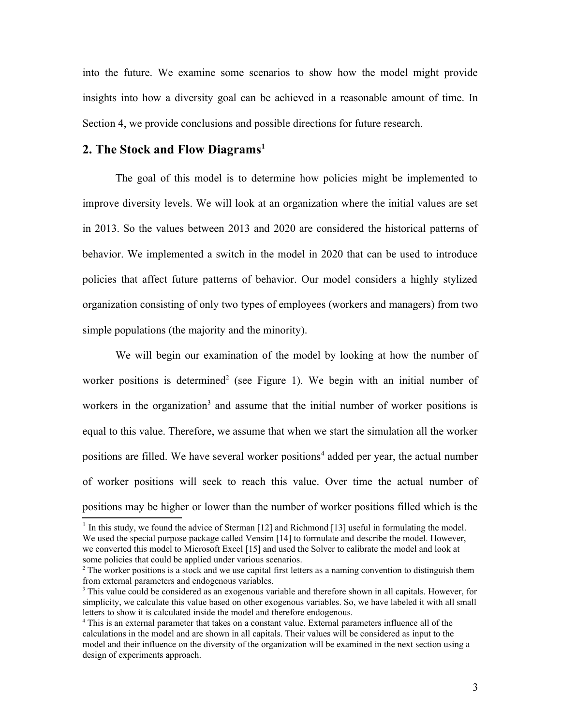into the future. We examine some scenarios to show how the model might provide insights into how a diversity goal can be achieved in a reasonable amount of time. In Section 4, we provide conclusions and possible directions for future research.

## **2. The Stock and Flow Diagrams[1](#page-2-0)**

The goal of this model is to determine how policies might be implemented to improve diversity levels. We will look at an organization where the initial values are set in 2013. So the values between 2013 and 2020 are considered the historical patterns of behavior. We implemented a switch in the model in 2020 that can be used to introduce policies that affect future patterns of behavior. Our model considers a highly stylized organization consisting of only two types of employees (workers and managers) from two simple populations (the majority and the minority).

We will begin our examination of the model by looking at how the number of worker positions is determined<sup>[2](#page-2-1)</sup> (see Figure 1). We begin with an initial number of workers in the organization<sup>[3](#page-2-2)</sup> and assume that the initial number of worker positions is equal to this value. Therefore, we assume that when we start the simulation all the worker positions are filled. We have several worker positions<sup>[4](#page-2-3)</sup> added per year, the actual number of worker positions will seek to reach this value. Over time the actual number of positions may be higher or lower than the number of worker positions filled which is the

<span id="page-2-0"></span> $<sup>1</sup>$  In this study, we found the advice of Sterman [12] and Richmond [13] useful in formulating the model.</sup> We used the special purpose package called Vensim [14] to formulate and describe the model. However, we converted this model to Microsoft Excel [15] and used the Solver to calibrate the model and look at some policies that could be applied under various scenarios.

<span id="page-2-1"></span><sup>&</sup>lt;sup>2</sup> The worker positions is a stock and we use capital first letters as a naming convention to distinguish them from external parameters and endogenous variables.

<span id="page-2-2"></span><sup>&</sup>lt;sup>3</sup> This value could be considered as an exogenous variable and therefore shown in all capitals. However, for simplicity, we calculate this value based on other exogenous variables. So, we have labeled it with all small letters to show it is calculated inside the model and therefore endogenous.

<span id="page-2-3"></span><sup>4</sup> This is an external parameter that takes on a constant value. External parameters influence all of the calculations in the model and are shown in all capitals. Their values will be considered as input to the model and their influence on the diversity of the organization will be examined in the next section using a design of experiments approach.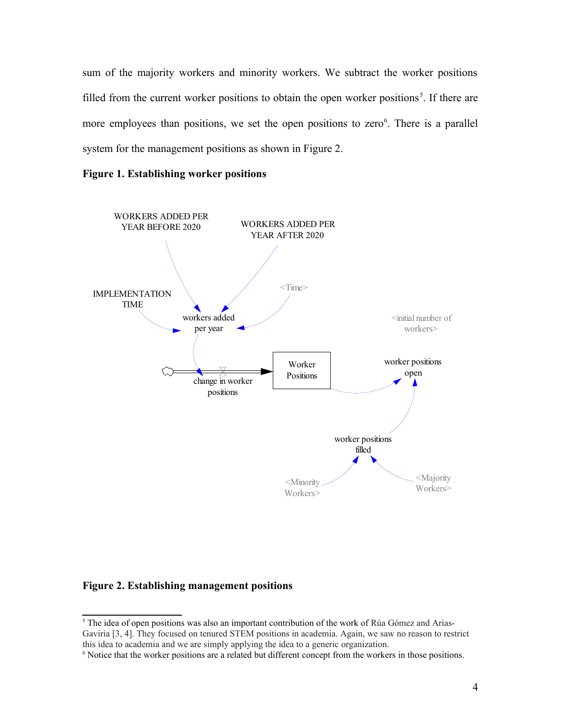sum of the majority workers and minority workers. We subtract the worker positions filled from the current worker positions to obtain the open worker positions<sup>[5](#page-3-0)</sup>. If there are more employees than positions, we set the open positions to zero<sup>[6](#page-3-1)</sup>. There is a parallel system for the management positions as shown in Figure 2.





#### **Figure 2. Establishing management positions**

<span id="page-3-0"></span><sup>&</sup>lt;sup>5</sup> The idea of open positions was also an important contribution of the work of Rúa Gómez and Arias-Gaviria [3, 4]. They focused on tenured STEM positions in academia. Again, we saw no reason to restrict this idea to academia and we are simply applying the idea to a generic organization.

<span id="page-3-1"></span><sup>6</sup> Notice that the worker positions are a related but different concept from the workers in those positions.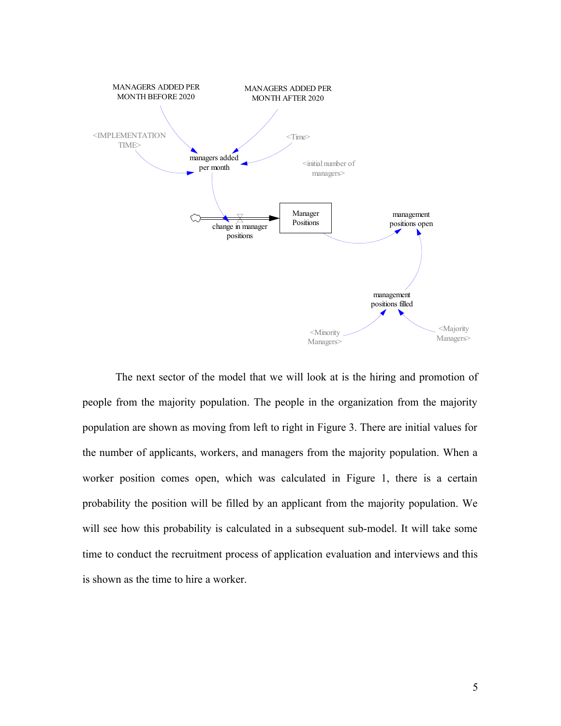

The next sector of the model that we will look at is the hiring and promotion of people from the majority population. The people in the organization from the majority population are shown as moving from left to right in Figure 3. There are initial values for the number of applicants, workers, and managers from the majority population. When a worker position comes open, which was calculated in Figure 1, there is a certain probability the position will be filled by an applicant from the majority population. We will see how this probability is calculated in a subsequent sub-model. It will take some time to conduct the recruitment process of application evaluation and interviews and this is shown as the time to hire a worker.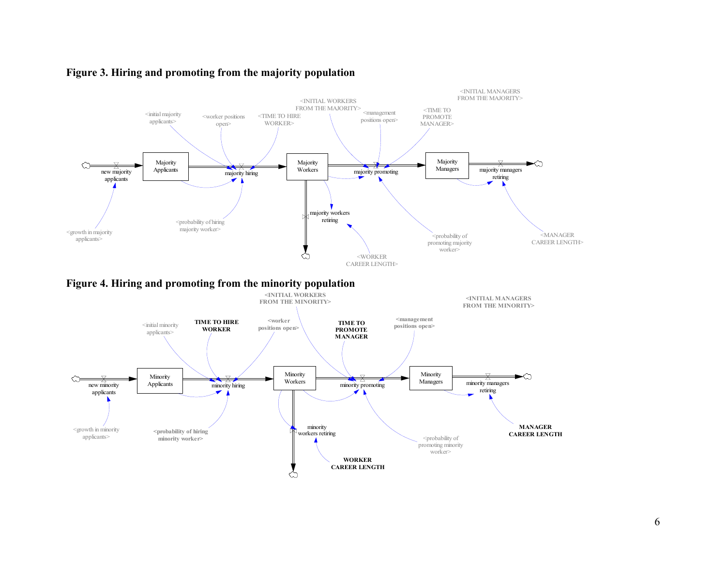

## **Figure 3. Hiring and promoting from the majority population**

**Figure 4. Hiring and promoting from the minority population**

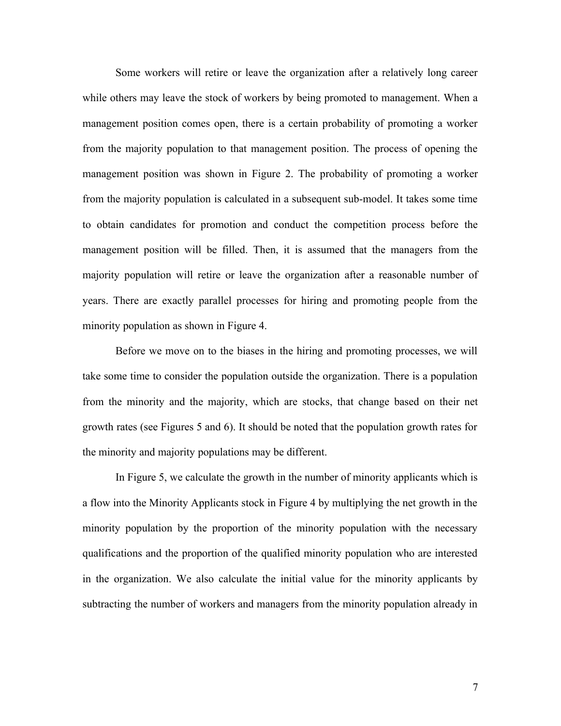Some workers will retire or leave the organization after a relatively long career while others may leave the stock of workers by being promoted to management. When a management position comes open, there is a certain probability of promoting a worker from the majority population to that management position. The process of opening the management position was shown in Figure 2. The probability of promoting a worker from the majority population is calculated in a subsequent sub-model. It takes some time to obtain candidates for promotion and conduct the competition process before the management position will be filled. Then, it is assumed that the managers from the majority population will retire or leave the organization after a reasonable number of years. There are exactly parallel processes for hiring and promoting people from the minority population as shown in Figure 4.

Before we move on to the biases in the hiring and promoting processes, we will take some time to consider the population outside the organization. There is a population from the minority and the majority, which are stocks, that change based on their net growth rates (see Figures 5 and 6). It should be noted that the population growth rates for the minority and majority populations may be different.

In Figure 5, we calculate the growth in the number of minority applicants which is a flow into the Minority Applicants stock in Figure 4 by multiplying the net growth in the minority population by the proportion of the minority population with the necessary qualifications and the proportion of the qualified minority population who are interested in the organization. We also calculate the initial value for the minority applicants by subtracting the number of workers and managers from the minority population already in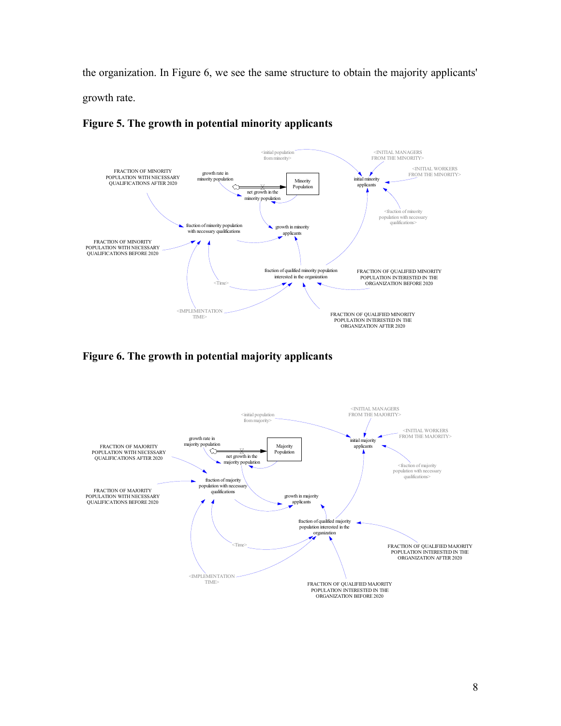the organization. In Figure 6, we see the same structure to obtain the majority applicants' growth rate.



## **Figure 5. The growth in potential minority applicants**

**Figure 6. The growth in potential majority applicants**

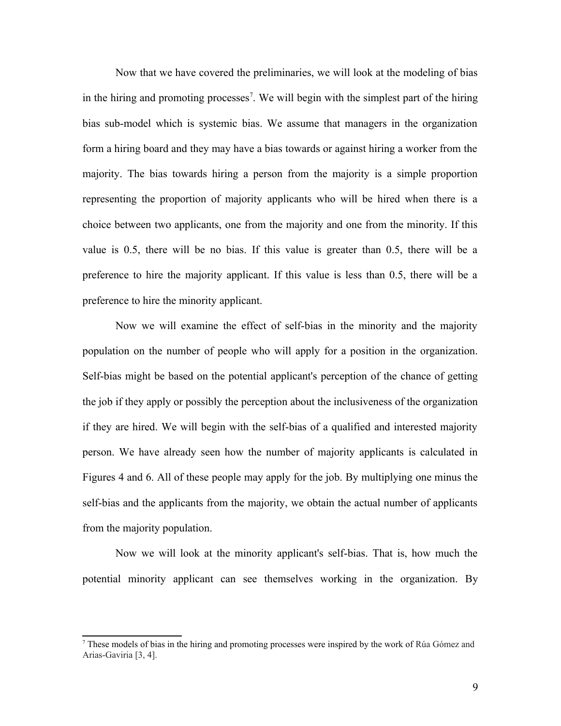Now that we have covered the preliminaries, we will look at the modeling of bias in the hiring and promoting processes<sup>[7](#page-8-0)</sup>. We will begin with the simplest part of the hiring bias sub-model which is systemic bias. We assume that managers in the organization form a hiring board and they may have a bias towards or against hiring a worker from the majority. The bias towards hiring a person from the majority is a simple proportion representing the proportion of majority applicants who will be hired when there is a choice between two applicants, one from the majority and one from the minority. If this value is 0.5, there will be no bias. If this value is greater than 0.5, there will be a preference to hire the majority applicant. If this value is less than 0.5, there will be a preference to hire the minority applicant.

Now we will examine the effect of self-bias in the minority and the majority population on the number of people who will apply for a position in the organization. Self-bias might be based on the potential applicant's perception of the chance of getting the job if they apply or possibly the perception about the inclusiveness of the organization if they are hired. We will begin with the self-bias of a qualified and interested majority person. We have already seen how the number of majority applicants is calculated in Figures 4 and 6. All of these people may apply for the job. By multiplying one minus the self-bias and the applicants from the majority, we obtain the actual number of applicants from the majority population.

Now we will look at the minority applicant's self-bias. That is, how much the potential minority applicant can see themselves working in the organization. By

<span id="page-8-0"></span><sup>7</sup> These models of bias in the hiring and promoting processes were inspired by the work of Rúa Gómez and Arias-Gaviria [3, 4].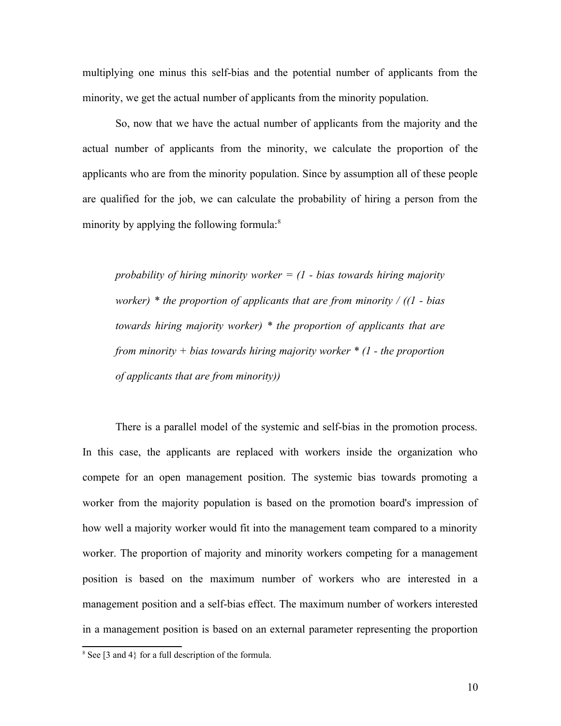multiplying one minus this self-bias and the potential number of applicants from the minority, we get the actual number of applicants from the minority population.

So, now that we have the actual number of applicants from the majority and the actual number of applicants from the minority, we calculate the proportion of the applicants who are from the minority population. Since by assumption all of these people are qualified for the job, we can calculate the probability of hiring a person from the minority by applying the following formula:<sup>[8](#page-9-0)</sup>

*probability of hiring minority worker = (1 - bias towards hiring majority worker) \* the proportion of applicants that are from minority / ((1 - bias towards hiring majority worker) \* the proportion of applicants that are from minority + bias towards hiring majority worker \* (1 - the proportion of applicants that are from minority))*

There is a parallel model of the systemic and self-bias in the promotion process. In this case, the applicants are replaced with workers inside the organization who compete for an open management position. The systemic bias towards promoting a worker from the majority population is based on the promotion board's impression of how well a majority worker would fit into the management team compared to a minority worker. The proportion of majority and minority workers competing for a management position is based on the maximum number of workers who are interested in a management position and a self-bias effect. The maximum number of workers interested in a management position is based on an external parameter representing the proportion

<span id="page-9-0"></span> $8$  See [3 and 4} for a full description of the formula.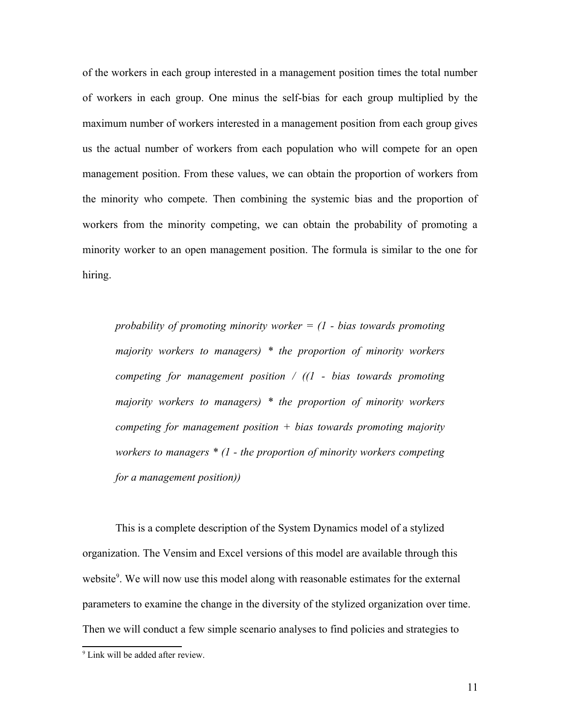of the workers in each group interested in a management position times the total number of workers in each group. One minus the self-bias for each group multiplied by the maximum number of workers interested in a management position from each group gives us the actual number of workers from each population who will compete for an open management position. From these values, we can obtain the proportion of workers from the minority who compete. Then combining the systemic bias and the proportion of workers from the minority competing, we can obtain the probability of promoting a minority worker to an open management position. The formula is similar to the one for hiring.

*probability of promoting minority worker = (1 - bias towards promoting majority workers to managers) \* the proportion of minority workers competing for management position / ((1 - bias towards promoting majority workers to managers) \* the proportion of minority workers competing for management position + bias towards promoting majority workers to managers \* (1 - the proportion of minority workers competing for a management position))*

This is a complete description of the System Dynamics model of a stylized organization. The Vensim and Excel versions of this model are available through this website<sup>[9](#page-10-0)</sup>. We will now use this model along with reasonable estimates for the external parameters to examine the change in the diversity of the stylized organization over time. Then we will conduct a few simple scenario analyses to find policies and strategies to

<span id="page-10-0"></span><sup>&</sup>lt;sup>9</sup> Link will be added after review.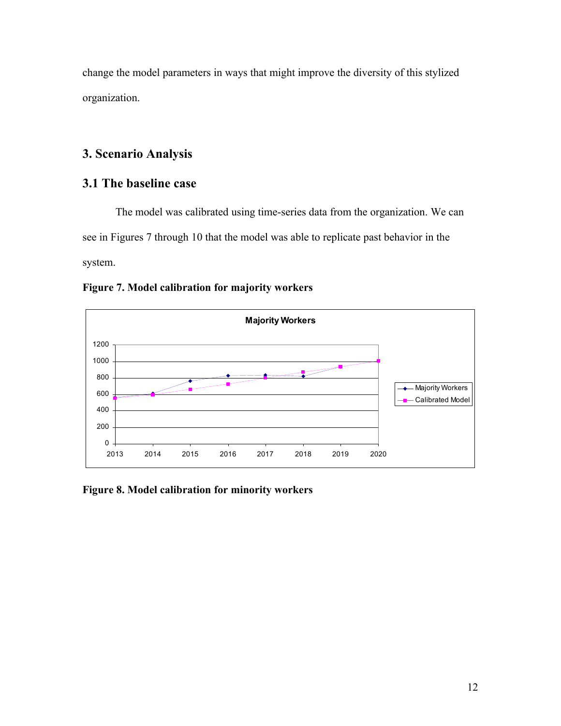change the model parameters in ways that might improve the diversity of this stylized organization.

# **3. Scenario Analysis**

# **3.1 The baseline case**

The model was calibrated using time-series data from the organization. We can see in Figures 7 through 10 that the model was able to replicate past behavior in the system.





**Figure 8. Model calibration for minority workers**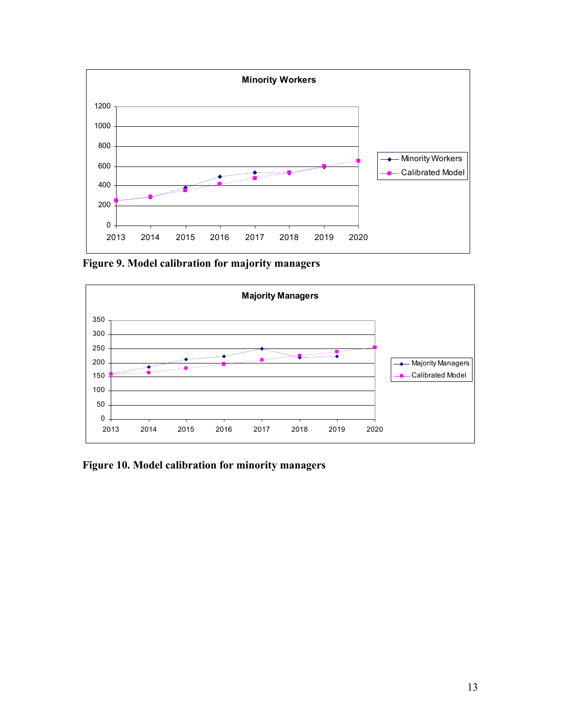

**Figure 9. Model calibration for majority managers**



**Figure 10. Model calibration for minority managers**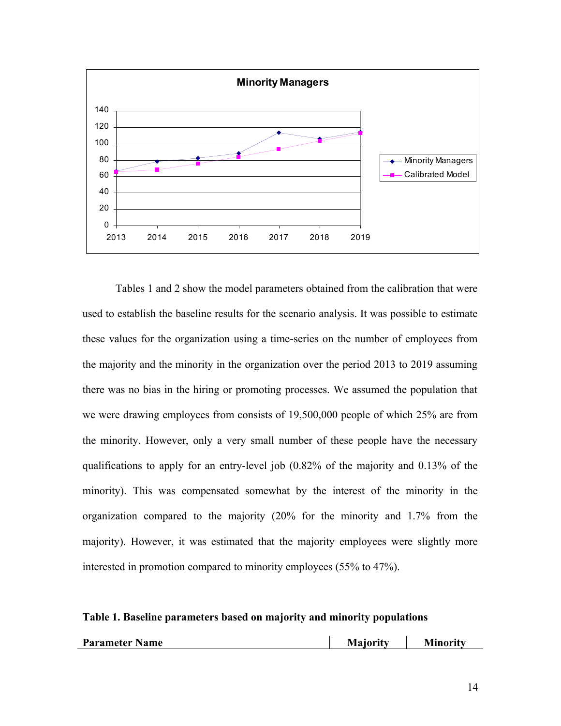

Tables 1 and 2 show the model parameters obtained from the calibration that were used to establish the baseline results for the scenario analysis. It was possible to estimate these values for the organization using a time-series on the number of employees from the majority and the minority in the organization over the period 2013 to 2019 assuming there was no bias in the hiring or promoting processes. We assumed the population that we were drawing employees from consists of 19,500,000 people of which 25% are from the minority. However, only a very small number of these people have the necessary qualifications to apply for an entry-level job (0.82% of the majority and 0.13% of the minority). This was compensated somewhat by the interest of the minority in the organization compared to the majority (20% for the minority and 1.7% from the majority). However, it was estimated that the majority employees were slightly more interested in promotion compared to minority employees (55% to 47%).

#### **Table 1. Baseline parameters based on majority and minority populations**

| Parameter Name | Majority | Minority |
|----------------|----------|----------|
|----------------|----------|----------|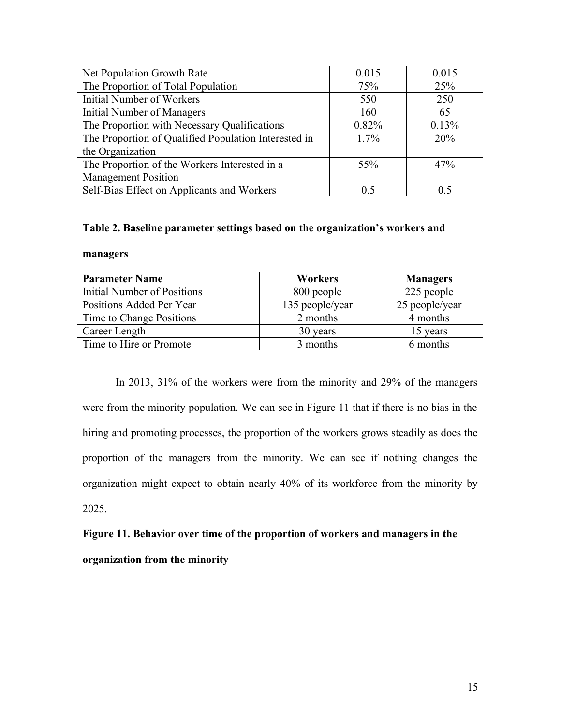| Net Population Growth Rate                           | 0.015   | 0.015 |
|------------------------------------------------------|---------|-------|
| The Proportion of Total Population                   | 75%     | 25%   |
| <b>Initial Number of Workers</b>                     | 550     | 250   |
| <b>Initial Number of Managers</b>                    | 160     | 65    |
| The Proportion with Necessary Qualifications         | 0.82%   | 0.13% |
| The Proportion of Qualified Population Interested in | $1.7\%$ | 20%   |
| the Organization                                     |         |       |
| The Proportion of the Workers Interested in a        | 55%     | 47%   |
| <b>Management Position</b>                           |         |       |
| Self-Bias Effect on Applicants and Workers           | 0.5     | 0 ና   |

#### **Table 2. Baseline parameter settings based on the organization's workers and**

#### **managers**

| <b>Parameter Name</b>       | <b>Workers</b>  | <b>Managers</b> |
|-----------------------------|-----------------|-----------------|
| Initial Number of Positions | 800 people      | 225 people      |
| Positions Added Per Year    | 135 people/year | 25 people/year  |
| Time to Change Positions    | 2 months        | 4 months        |
| Career Length               | 30 years        | 15 years        |
| Time to Hire or Promote     | 3 months        | 6 months        |

In 2013, 31% of the workers were from the minority and 29% of the managers were from the minority population. We can see in Figure 11 that if there is no bias in the hiring and promoting processes, the proportion of the workers grows steadily as does the proportion of the managers from the minority. We can see if nothing changes the organization might expect to obtain nearly 40% of its workforce from the minority by 2025.

**Figure 11. Behavior over time of the proportion of workers and managers in the organization from the minority**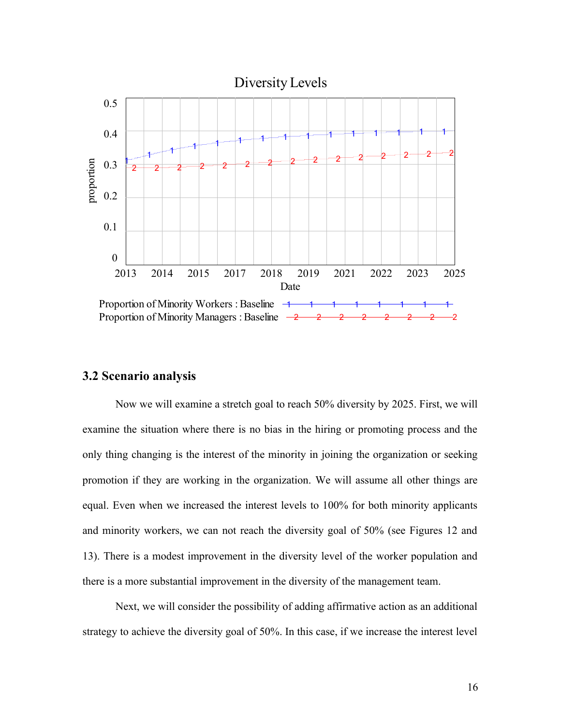

#### **3.2 Scenario analysis**

Now we will examine a stretch goal to reach 50% diversity by 2025. First, we will examine the situation where there is no bias in the hiring or promoting process and the only thing changing is the interest of the minority in joining the organization or seeking promotion if they are working in the organization. We will assume all other things are equal. Even when we increased the interest levels to 100% for both minority applicants and minority workers, we can not reach the diversity goal of 50% (see Figures 12 and 13). There is a modest improvement in the diversity level of the worker population and there is a more substantial improvement in the diversity of the management team.

Next, we will consider the possibility of adding affirmative action as an additional strategy to achieve the diversity goal of 50%. In this case, if we increase the interest level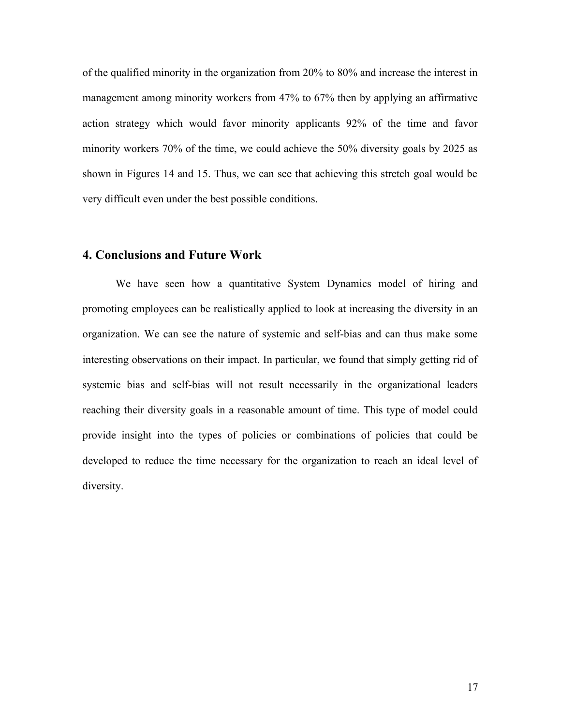of the qualified minority in the organization from 20% to 80% and increase the interest in management among minority workers from 47% to 67% then by applying an affirmative action strategy which would favor minority applicants 92% of the time and favor minority workers 70% of the time, we could achieve the 50% diversity goals by 2025 as shown in Figures 14 and 15. Thus, we can see that achieving this stretch goal would be very difficult even under the best possible conditions.

### **4. Conclusions and Future Work**

We have seen how a quantitative System Dynamics model of hiring and promoting employees can be realistically applied to look at increasing the diversity in an organization. We can see the nature of systemic and self-bias and can thus make some interesting observations on their impact. In particular, we found that simply getting rid of systemic bias and self-bias will not result necessarily in the organizational leaders reaching their diversity goals in a reasonable amount of time. This type of model could provide insight into the types of policies or combinations of policies that could be developed to reduce the time necessary for the organization to reach an ideal level of diversity.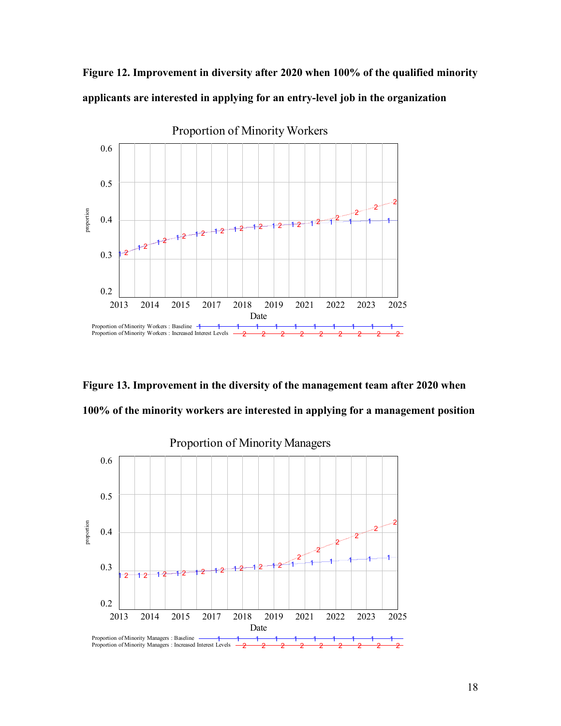



**Figure 13. Improvement in the diversity of the management team after 2020 when 100% of the minority workers are interested in applying for a management position**

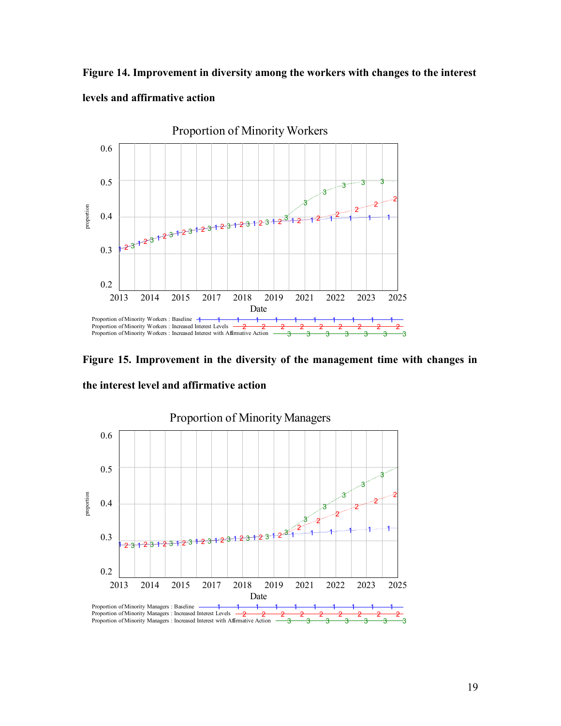**Figure 14. Improvement in diversity among the workers with changes to the interest**



**levels and affirmative action**

**Figure 15. Improvement in the diversity of the management time with changes in the interest level and affirmative action**

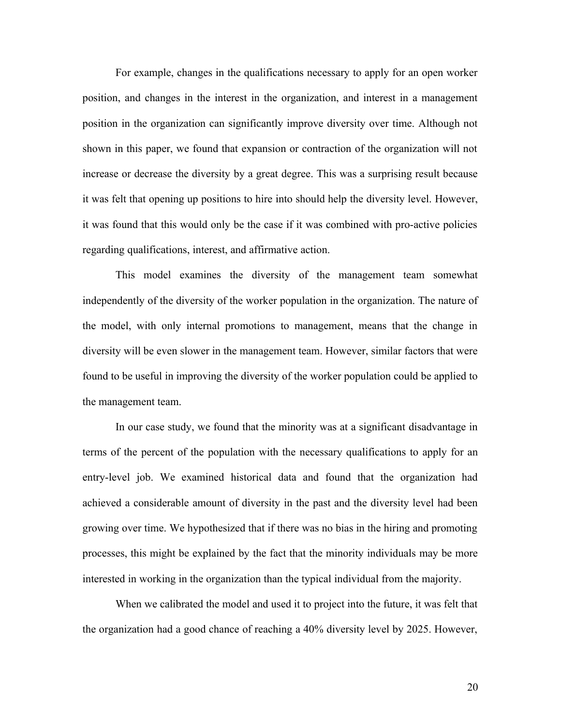For example, changes in the qualifications necessary to apply for an open worker position, and changes in the interest in the organization, and interest in a management position in the organization can significantly improve diversity over time. Although not shown in this paper, we found that expansion or contraction of the organization will not increase or decrease the diversity by a great degree. This was a surprising result because it was felt that opening up positions to hire into should help the diversity level. However, it was found that this would only be the case if it was combined with pro-active policies regarding qualifications, interest, and affirmative action.

This model examines the diversity of the management team somewhat independently of the diversity of the worker population in the organization. The nature of the model, with only internal promotions to management, means that the change in diversity will be even slower in the management team. However, similar factors that were found to be useful in improving the diversity of the worker population could be applied to the management team.

In our case study, we found that the minority was at a significant disadvantage in terms of the percent of the population with the necessary qualifications to apply for an entry-level job. We examined historical data and found that the organization had achieved a considerable amount of diversity in the past and the diversity level had been growing over time. We hypothesized that if there was no bias in the hiring and promoting processes, this might be explained by the fact that the minority individuals may be more interested in working in the organization than the typical individual from the majority.

When we calibrated the model and used it to project into the future, it was felt that the organization had a good chance of reaching a 40% diversity level by 2025. However,

20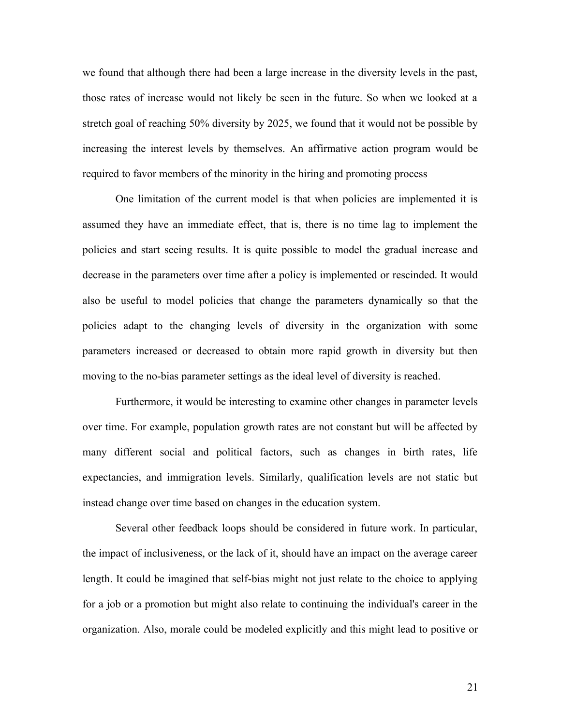we found that although there had been a large increase in the diversity levels in the past, those rates of increase would not likely be seen in the future. So when we looked at a stretch goal of reaching 50% diversity by 2025, we found that it would not be possible by increasing the interest levels by themselves. An affirmative action program would be required to favor members of the minority in the hiring and promoting process

One limitation of the current model is that when policies are implemented it is assumed they have an immediate effect, that is, there is no time lag to implement the policies and start seeing results. It is quite possible to model the gradual increase and decrease in the parameters over time after a policy is implemented or rescinded. It would also be useful to model policies that change the parameters dynamically so that the policies adapt to the changing levels of diversity in the organization with some parameters increased or decreased to obtain more rapid growth in diversity but then moving to the no-bias parameter settings as the ideal level of diversity is reached.

Furthermore, it would be interesting to examine other changes in parameter levels over time. For example, population growth rates are not constant but will be affected by many different social and political factors, such as changes in birth rates, life expectancies, and immigration levels. Similarly, qualification levels are not static but instead change over time based on changes in the education system.

Several other feedback loops should be considered in future work. In particular, the impact of inclusiveness, or the lack of it, should have an impact on the average career length. It could be imagined that self-bias might not just relate to the choice to applying for a job or a promotion but might also relate to continuing the individual's career in the organization. Also, morale could be modeled explicitly and this might lead to positive or

21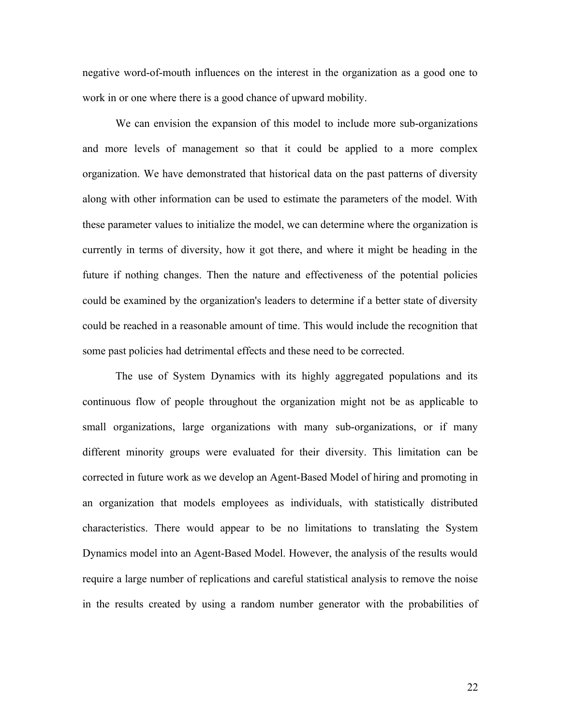negative word-of-mouth influences on the interest in the organization as a good one to work in or one where there is a good chance of upward mobility.

We can envision the expansion of this model to include more sub-organizations and more levels of management so that it could be applied to a more complex organization. We have demonstrated that historical data on the past patterns of diversity along with other information can be used to estimate the parameters of the model. With these parameter values to initialize the model, we can determine where the organization is currently in terms of diversity, how it got there, and where it might be heading in the future if nothing changes. Then the nature and effectiveness of the potential policies could be examined by the organization's leaders to determine if a better state of diversity could be reached in a reasonable amount of time. This would include the recognition that some past policies had detrimental effects and these need to be corrected.

The use of System Dynamics with its highly aggregated populations and its continuous flow of people throughout the organization might not be as applicable to small organizations, large organizations with many sub-organizations, or if many different minority groups were evaluated for their diversity. This limitation can be corrected in future work as we develop an Agent-Based Model of hiring and promoting in an organization that models employees as individuals, with statistically distributed characteristics. There would appear to be no limitations to translating the System Dynamics model into an Agent-Based Model. However, the analysis of the results would require a large number of replications and careful statistical analysis to remove the noise in the results created by using a random number generator with the probabilities of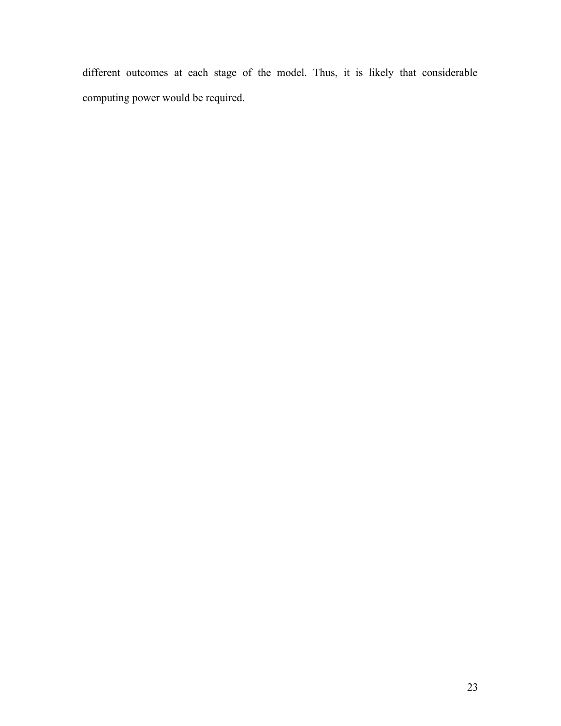different outcomes at each stage of the model. Thus, it is likely that considerable computing power would be required.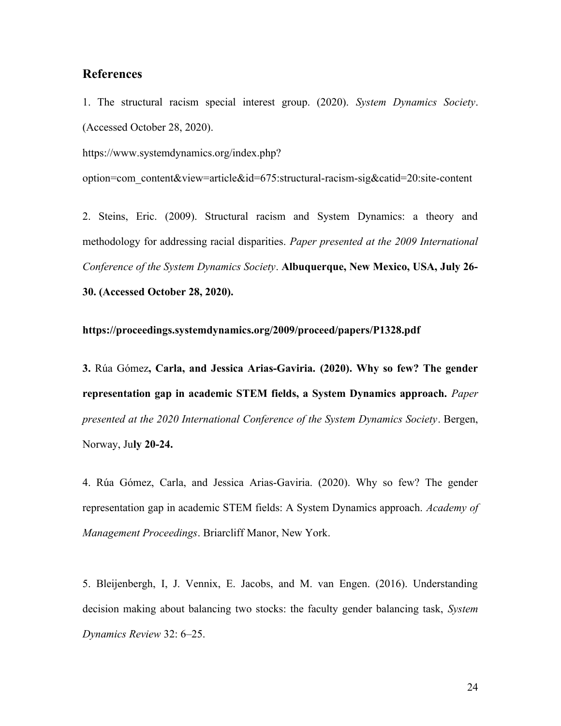## **References**

1. The structural racism special interest group. (2020). *System Dynamics Society*. (Accessed October 28, 2020).

https://www.systemdynamics.org/index.php?

option=com\_content&view=article&id=675:structural-racism-sig&catid=20:site-content

2. Steins, Eric. (2009). Structural racism and System Dynamics: a theory and methodology for addressing racial disparities. *Paper presented at the 2009 International Conference of the System Dynamics Society*. **Albuquerque, New Mexico, USA, July 26- 30. (Accessed October 28, 2020).** 

#### **https://proceedings.systemdynamics.org/2009/proceed/papers/P1328.pdf**

**3.** Rúa Gómez**, Carla, and Jessica Arias-Gaviria. (2020). Why so few? The gender representation gap in academic STEM fields, a System Dynamics approach.** *Paper presented at the 2020 International Conference of the System Dynamics Society*. Bergen, Norway, Ju**ly 20-24.**

4. Rúa Gómez, Carla, and Jessica Arias-Gaviria. (2020). Why so few? The gender representation gap in academic STEM fields: A System Dynamics approach. *Academy of Management Proceedings*. Briarcliff Manor, New York.

5. Bleijenbergh, I, J. Vennix, E. Jacobs, and M. van Engen. (2016). Understanding decision making about balancing two stocks: the faculty gender balancing task, *System Dynamics Review* 32: 6–25.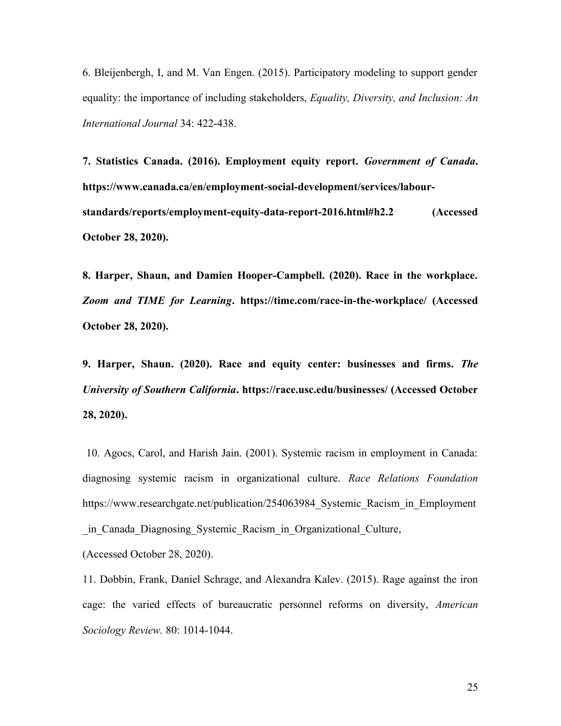6. Bleijenbergh, I, and M. Van Engen. (2015). Participatory modeling to support gender equality: the importance of including stakeholders, *Equality, Diversity, and Inclusion: An International Journal* 34: 422-438.

**7. Statistics Canada. (2016). Employment equity report.** *Government of Canada***. https://www.canada.ca/en/employment-social-development/services/labourstandards/reports/employment-equity-data-report-2016.html#h2.2 (Accessed October 28, 2020).**

**8. Harper, Shaun, and Damien Hooper-Campbell. (2020). Race in the workplace.** *Zoom and TIME for Learning***. https://time.com/race-in-the-workplace/ (Accessed October 28, 2020).**

**9. Harper, Shaun. (2020). Race and equity center: businesses and firms.** *The University of Southern California***. https://race.usc.edu/businesses/ (Accessed October 28, 2020).**

10. Agocs, Carol, and Harish Jain. (2001). Systemic racism in employment in Canada: diagnosing systemic racism in organizational culture. *Race Relations Foundation* https://www.researchgate.net/publication/254063984 Systemic Racism in Employment \_in\_Canada\_Diagnosing\_Systemic\_Racism\_in\_Organizational\_Culture,

(Accessed October 28, 2020).

11. Dobbin, Frank, Daniel Schrage, and Alexandra Kalev. (2015). Rage against the iron cage: the varied effects of bureaucratic personnel reforms on diversity, *American Sociology Review.* 80: 1014-1044.

25